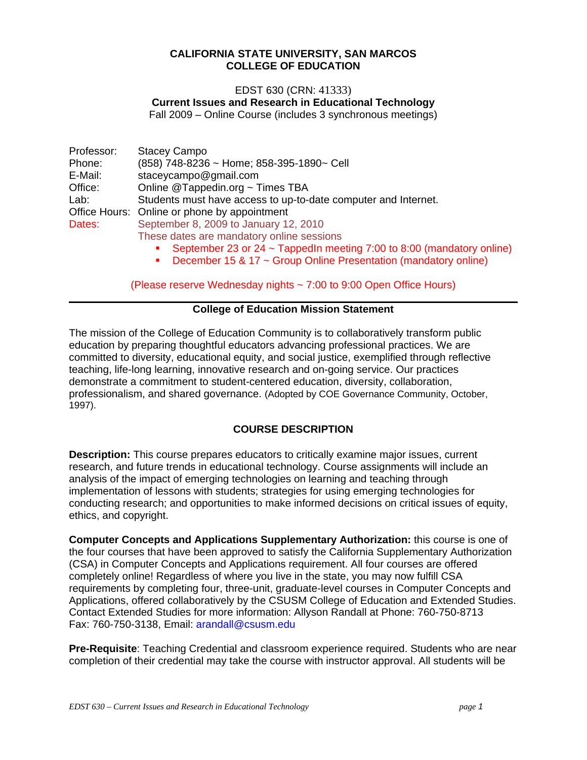#### **CALIFORNIA STATE UNIVERSITY, SAN MARCOS COLLEGE OF EDUCATION**

#### EDST 630 (CRN: 41333)

**Current Issues and Research in Educational Technology** 

Fall 2009 – Online Course (includes 3 synchronous meetings)

| Professor: | <b>Stacey Campo</b>                                            |  |  |
|------------|----------------------------------------------------------------|--|--|
| Phone:     | (858) 748-8236 ~ Home; 858-395-1890~ Cell                      |  |  |
| E-Mail:    | staceycampo@gmail.com                                          |  |  |
| Office:    | Online @Tappedin.org ~ Times TBA                               |  |  |
| Lab:       | Students must have access to up-to-date computer and Internet. |  |  |
|            | Office Hours: Online or phone by appointment                   |  |  |
| Dates:     | September 8, 2009 to January 12, 2010                          |  |  |
|            | These dates are mandatory online sessions                      |  |  |

- September 23 or 24 ~ TappedIn meeting 7:00 to 8:00 (mandatory online)
- December 15 & 17 ~ Group Online Presentation (mandatory online)

(Please reserve Wednesday nights ~ 7:00 to 9:00 Open Office Hours)

#### **College of Education Mission Statement**

The mission of the College of Education Community is to collaboratively transform public education by preparing thoughtful educators advancing professional practices. We are committed to diversity, educational equity, and social justice, exemplified through reflective teaching, life-long learning, innovative research and on-going service. Our practices demonstrate a commitment to student-centered education, diversity, collaboration, professionalism, and shared governance. (Adopted by COE Governance Community, October, 1997).

## **COURSE DESCRIPTION**

**Description:** This course prepares educators to critically examine major issues, current research, and future trends in educational technology. Course assignments will include an analysis of the impact of emerging technologies on learning and teaching through implementation of lessons with students; strategies for using emerging technologies for conducting research; and opportunities to make informed decisions on critical issues of equity, ethics, and copyright.

**Computer Concepts and Applications Supplementary Authorization:** this course is one of the four courses that have been approved to satisfy the California Supplementary Authorization (CSA) in Computer Concepts and Applications requirement. All four courses are offered completely online! Regardless of where you live in the state, you may now fulfill CSA requirements by completing four, three-unit, graduate-level courses in Computer Concepts and Applications, offered collaboratively by the CSUSM College of Education and Extended Studies. Contact Extended Studies for more information: Allyson Randall at Phone: 760-750-8713 Fax: 760-750-3138, Email: arandall@csusm.edu

**Pre-Requisite**: Teaching Credential and classroom experience required. Students who are near completion of their credential may take the course with instructor approval. All students will be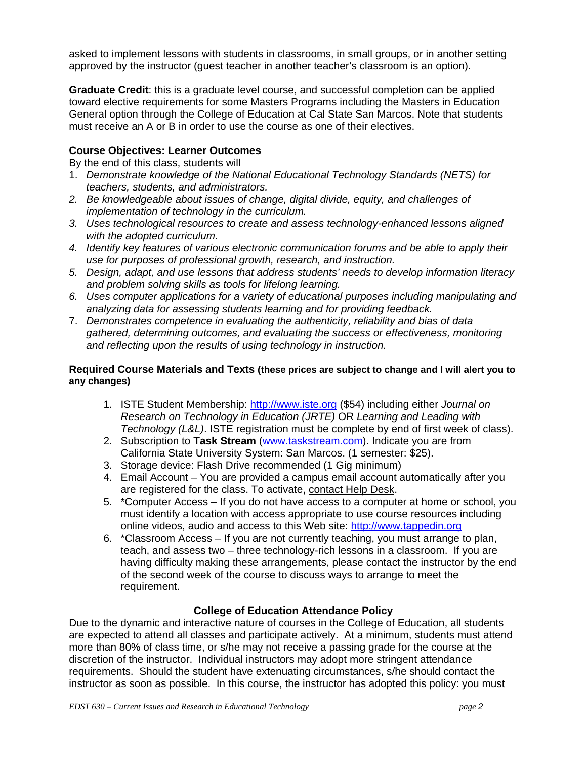asked to implement lessons with students in classrooms, in small groups, or in another setting approved by the instructor (guest teacher in another teacher's classroom is an option).

**Graduate Credit**: this is a graduate level course, and successful completion can be applied toward elective requirements for some Masters Programs including the Masters in Education General option through the College of Education at Cal State San Marcos. Note that students must receive an A or B in order to use the course as one of their electives.

## **Course Objectives: Learner Outcomes**

By the end of this class, students will

- 1. *Demonstrate knowledge of the National Educational Technology Standards (NETS) for teachers, students, and administrators.*
- *2. Be knowledgeable about issues of change, digital divide, equity, and challenges of implementation of technology in the curriculum.*
- *3. Uses technological resources to create and assess technology-enhanced lessons aligned with the adopted curriculum.*
- *4. Identify key features of various electronic communication forums and be able to apply their use for purposes of professional growth, research, and instruction.*
- *5. Design, adapt, and use lessons that address students' needs to develop information literacy and problem solving skills as tools for lifelong learning.*
- *6. Uses computer applications for a variety of educational purposes including manipulating and analyzing data for assessing students learning and for providing feedback.*
- 7. *Demonstrates competence in evaluating the authenticity, reliability and bias of data gathered, determining outcomes, and evaluating the success or effectiveness, monitoring and reflecting upon the results of using technology in instruction.*

#### **Required Course Materials and Texts (these prices are subject to change and I will alert you to any changes)**

- 1. ISTE Student Membership: http://www.iste.org (\$54) including either *Journal on Research on Technology in Education (JRTE)* OR *Learning and Leading with Technology (L&L)*. ISTE registration must be complete by end of first week of class).
- 2. Subscription to **Task Stream** (www.taskstream.com). Indicate you are from California State University System: San Marcos. (1 semester: \$25).
- 3. Storage device: Flash Drive recommended (1 Gig minimum)
- 4. Email Account You are provided a campus email account automatically after you are registered for the class. To activate, contact Help Desk.
- 5. \*Computer Access If you do not have access to a computer at home or school, you must identify a location with access appropriate to use course resources including online videos, audio and access to this Web site: http://www.tappedin.org
- 6. \*Classroom Access If you are not currently teaching, you must arrange to plan, teach, and assess two – three technology-rich lessons in a classroom. If you are having difficulty making these arrangements, please contact the instructor by the end of the second week of the course to discuss ways to arrange to meet the requirement.

## **College of Education Attendance Policy**

Due to the dynamic and interactive nature of courses in the College of Education, all students are expected to attend all classes and participate actively. At a minimum, students must attend more than 80% of class time, or s/he may not receive a passing grade for the course at the discretion of the instructor. Individual instructors may adopt more stringent attendance requirements. Should the student have extenuating circumstances, s/he should contact the instructor as soon as possible. In this course, the instructor has adopted this policy: you must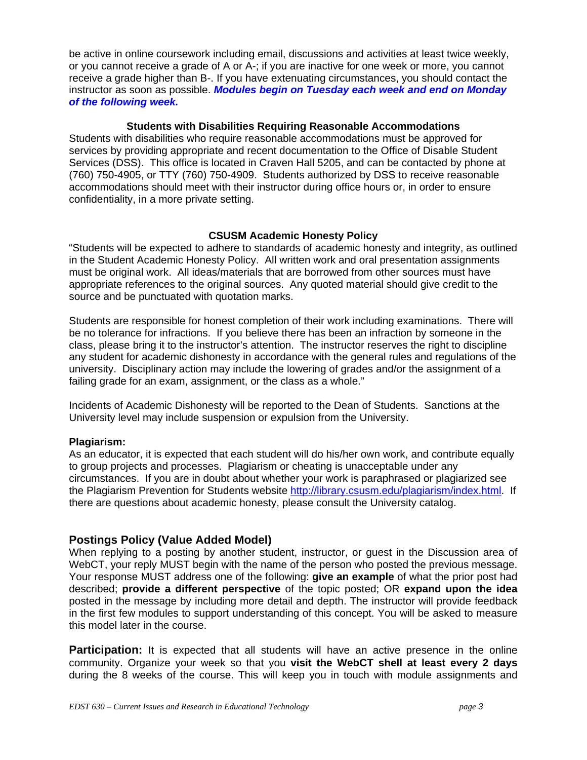*of the following week.* be active in online coursework including email, discussions and activities at least twice weekly, or you cannot receive a grade of A or A-; if you are inactive for one week or more, you cannot receive a grade higher than B-. If you have extenuating circumstances, you should contact the instructor as soon as possible. *Modules begin on Tuesday each week and end on Monday* 

#### **Students with Disabilities Requiring Reasonable Accommodations**

Students with disabilities who require reasonable accommodations must be approved for services by providing appropriate and recent documentation to the Office of Disable Student Services (DSS). This office is located in Craven Hall 5205, and can be contacted by phone at (760) 750-4905, or TTY (760) 750-4909. Students authorized by DSS to receive reasonable accommodations should meet with their instructor during office hours or, in order to ensure confidentiality, in a more private setting.

## **CSUSM Academic Honesty Policy**

"Students will be expected to adhere to standards of academic honesty and integrity, as outlined in the Student Academic Honesty Policy. All written work and oral presentation assignments must be original work. All ideas/materials that are borrowed from other sources must have appropriate references to the original sources. Any quoted material should give credit to the source and be punctuated with quotation marks.

Students are responsible for honest completion of their work including examinations. There will be no tolerance for infractions. If you believe there has been an infraction by someone in the class, please bring it to the instructor's attention. The instructor reserves the right to discipline any student for academic dishonesty in accordance with the general rules and regulations of the university. Disciplinary action may include the lowering of grades and/or the assignment of a failing grade for an exam, assignment, or the class as a whole."

Incidents of Academic Dishonesty will be reported to the Dean of Students. Sanctions at the University level may include suspension or expulsion from the University.

## **Plagiarism:**

As an educator, it is expected that each student will do his/her own work, and contribute equally to group projects and processes. Plagiarism or cheating is unacceptable under any circumstances. If you are in doubt about whether your work is paraphrased or plagiarized see the Plagiarism Prevention for Students website http://library.csusm.edu/plagiarism/index.html. If there are questions about academic honesty, please consult the University catalog.

## **Postings Policy (Value Added Model)**

When replying to a posting by another student, instructor, or guest in the Discussion area of WebCT, your reply MUST begin with the name of the person who posted the previous message. Your response MUST address one of the following: **give an example** of what the prior post had described; **provide a different perspective** of the topic posted; OR **expand upon the idea**  posted in the message by including more detail and depth. The instructor will provide feedback in the first few modules to support understanding of this concept. You will be asked to measure this model later in the course.

**Participation:** It is expected that all students will have an active presence in the online community. Organize your week so that you **visit the WebCT shell at least every 2 days**  during the 8 weeks of the course. This will keep you in touch with module assignments and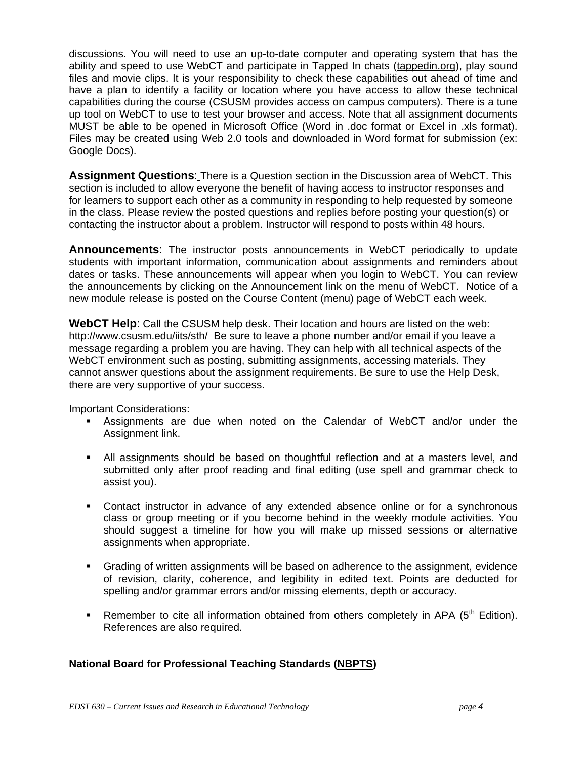discussions. You will need to use an up-to-date computer and operating system that has the ability and speed to use WebCT and participate in Tapped In chats (tappedin.org), play sound files and movie clips. It is your responsibility to check these capabilities out ahead of time and have a plan to identify a facility or location where you have access to allow these technical capabilities during the course (CSUSM provides access on campus computers). There is a tune up tool on WebCT to use to test your browser and access. Note that all assignment documents MUST be able to be opened in Microsoft Office (Word in .doc format or Excel in .xls format). Files may be created using Web 2.0 tools and downloaded in Word format for submission (ex: Google Docs).

**Assignment Questions**: There is a Question section in the Discussion area of WebCT. This section is included to allow everyone the benefit of having access to instructor responses and for learners to support each other as a community in responding to help requested by someone in the class. Please review the posted questions and replies before posting your question(s) or contacting the instructor about a problem. Instructor will respond to posts within 48 hours.

**Announcements**: The instructor posts announcements in WebCT periodically to update students with important information, communication about assignments and reminders about dates or tasks. These announcements will appear when you login to WebCT. You can review the announcements by clicking on the Announcement link on the menu of WebCT. Notice of a new module release is posted on the Course Content (menu) page of WebCT each week.

**WebCT Help**: Call the CSUSM help desk. Their location and hours are listed on the web: http://www.csusm.edu/iits/sth/ Be sure to leave a phone number and/or email if you leave a message regarding a problem you are having. They can help with all technical aspects of the WebCT environment such as posting, submitting assignments, accessing materials. They cannot answer questions about the assignment requirements. Be sure to use the Help Desk, there are very supportive of your success.

Important Considerations:

- Assignments are due when noted on the Calendar of WebCT and/or under the Assignment link.
- All assignments should be based on thoughtful reflection and at a masters level, and submitted only after proof reading and final editing (use spell and grammar check to assist you).
- Contact instructor in advance of any extended absence online or for a synchronous class or group meeting or if you become behind in the weekly module activities. You should suggest a timeline for how you will make up missed sessions or alternative assignments when appropriate.
- Grading of written assignments will be based on adherence to the assignment, evidence of revision, clarity, coherence, and legibility in edited text. Points are deducted for spelling and/or grammar errors and/or missing elements, depth or accuracy.
- Remember to cite all information obtained from others completely in APA  $(5<sup>th</sup>$  Edition). References are also required.

## **National Board for Professional Teaching Standards (NBPTS)**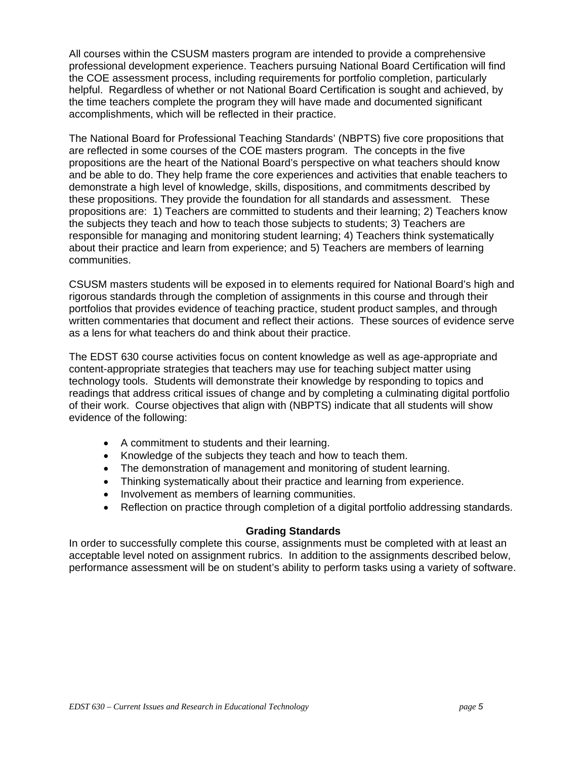All courses within the CSUSM masters program are intended to provide a comprehensive professional development experience. Teachers pursuing National Board Certification will find the COE assessment process, including requirements for portfolio completion, particularly helpful. Regardless of whether or not National Board Certification is sought and achieved, by the time teachers complete the program they will have made and documented significant accomplishments, which will be reflected in their practice.

The National Board for Professional Teaching Standards' (NBPTS) five core propositions that are reflected in some courses of the COE masters program. The concepts in the five propositions are the heart of the National Board's perspective on what teachers should know and be able to do. They help frame the core experiences and activities that enable teachers to demonstrate a high level of knowledge, skills, dispositions, and commitments described by these propositions. They provide the foundation for all standards and assessment. These propositions are: 1) Teachers are committed to students and their learning; 2) Teachers know the subjects they teach and how to teach those subjects to students; 3) Teachers are responsible for managing and monitoring student learning; 4) Teachers think systematically about their practice and learn from experience; and 5) Teachers are members of learning communities.

CSUSM masters students will be exposed in to elements required for National Board's high and rigorous standards through the completion of assignments in this course and through their portfolios that provides evidence of teaching practice, student product samples, and through written commentaries that document and reflect their actions. These sources of evidence serve as a lens for what teachers do and think about their practice.

The EDST 630 course activities focus on content knowledge as well as age-appropriate and content-appropriate strategies that teachers may use for teaching subject matter using technology tools. Students will demonstrate their knowledge by responding to topics and readings that address critical issues of change and by completing a culminating digital portfolio of their work. Course objectives that align with (NBPTS) indicate that all students will show evidence of the following:

- A commitment to students and their learning.
- Knowledge of the subjects they teach and how to teach them.
- The demonstration of management and monitoring of student learning.
- Thinking systematically about their practice and learning from experience.
- Involvement as members of learning communities.
- Reflection on practice through completion of a digital portfolio addressing standards.

## **Grading Standards**

In order to successfully complete this course, assignments must be completed with at least an acceptable level noted on assignment rubrics. In addition to the assignments described below, performance assessment will be on student's ability to perform tasks using a variety of software.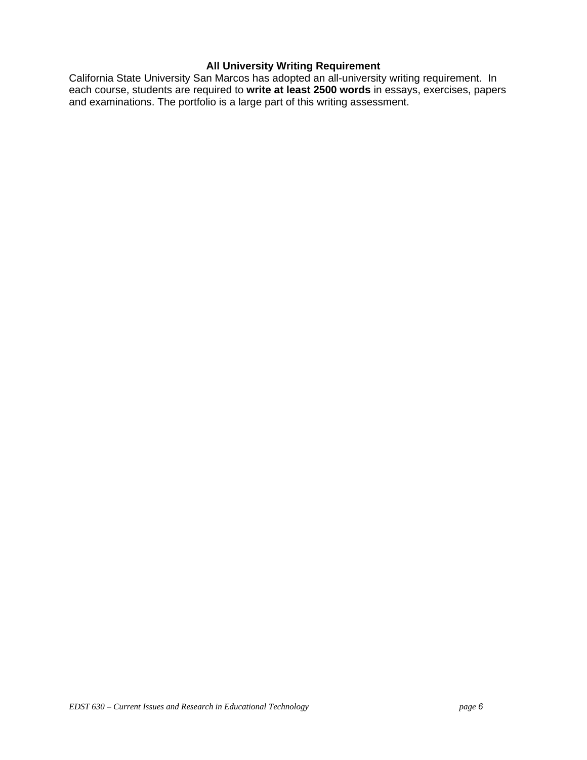# **All University Writing Requirement**

California State University San Marcos has adopted an all-university writing requirement. In each course, students are required to **write at least 2500 words** in essays, exercises, papers and examinations. The portfolio is a large part of this writing assessment.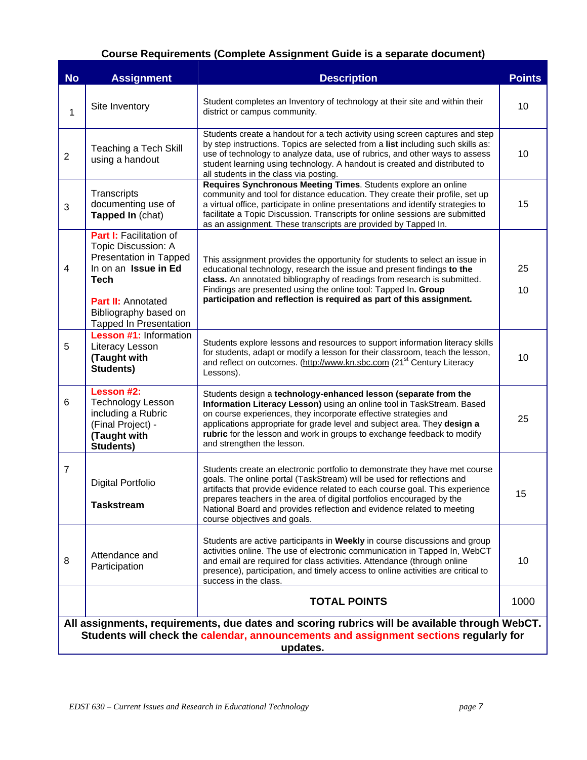# **Course Requirements (Complete Assignment Guide is a separate document)**

| <b>No</b>      | <b>Assignment</b>                                                                                                                                                                                      | <b>Description</b>                                                                                                                                                                                                                                                                                                                                                                                                       | <b>Points</b> |  |  |  |
|----------------|--------------------------------------------------------------------------------------------------------------------------------------------------------------------------------------------------------|--------------------------------------------------------------------------------------------------------------------------------------------------------------------------------------------------------------------------------------------------------------------------------------------------------------------------------------------------------------------------------------------------------------------------|---------------|--|--|--|
| 1              | Site Inventory                                                                                                                                                                                         | Student completes an Inventory of technology at their site and within their<br>district or campus community.                                                                                                                                                                                                                                                                                                             | 10            |  |  |  |
| $\overline{2}$ | <b>Teaching a Tech Skill</b><br>using a handout                                                                                                                                                        | Students create a handout for a tech activity using screen captures and step<br>by step instructions. Topics are selected from a list including such skills as:<br>use of technology to analyze data, use of rubrics, and other ways to assess<br>student learning using technology. A handout is created and distributed to<br>all students in the class via posting.                                                   | 10            |  |  |  |
| 3              | Transcripts<br>documenting use of<br>Tapped In (chat)                                                                                                                                                  | Requires Synchronous Meeting Times. Students explore an online<br>community and tool for distance education. They create their profile, set up<br>a virtual office, participate in online presentations and identify strategies to<br>facilitate a Topic Discussion. Transcripts for online sessions are submitted<br>as an assignment. These transcripts are provided by Tapped In.                                     | 15            |  |  |  |
| $\overline{4}$ | Part I: Facilitation of<br>Topic Discussion: A<br>Presentation in Tapped<br>In on an Issue in Ed<br><b>Tech</b><br><b>Part II: Annotated</b><br>Bibliography based on<br><b>Tapped In Presentation</b> | This assignment provides the opportunity for students to select an issue in<br>educational technology, research the issue and present findings to the<br>class. An annotated bibliography of readings from research is submitted.<br>Findings are presented using the online tool: Tapped In. Group<br>participation and reflection is required as part of this assignment.                                              | 25<br>10      |  |  |  |
| 5              | <b>Lesson #1: Information</b><br>Literacy Lesson<br>(Taught with<br>Students)                                                                                                                          | Students explore lessons and resources to support information literacy skills<br>for students, adapt or modify a lesson for their classroom, teach the lesson,<br>and reflect on outcomes. (http://www.kn.sbc.com (21 <sup>st</sup> Century Literacy<br>Lessons).                                                                                                                                                        | 10            |  |  |  |
| 6              | Lesson #2:<br><b>Technology Lesson</b><br>including a Rubric<br>(Final Project) -<br>(Taught with<br>Students)                                                                                         | Students design a technology-enhanced lesson (separate from the<br>Information Literacy Lesson) using an online tool in TaskStream. Based<br>on course experiences, they incorporate effective strategies and<br>applications appropriate for grade level and subject area. They design a<br>rubric for the lesson and work in groups to exchange feedback to modify<br>and strengthen the lesson.                       | 25            |  |  |  |
| $\overline{7}$ | Digital Portfolio<br><b>Taskstream</b>                                                                                                                                                                 | Students create an electronic portfolio to demonstrate they have met course<br>goals. The online portal (TaskStream) will be used for reflections and<br>artifacts that provide evidence related to each course goal. This experience<br>prepares teachers in the area of digital portfolios encouraged by the<br>National Board and provides reflection and evidence related to meeting<br>course objectives and goals. | 15            |  |  |  |
| 8              | Attendance and<br>Participation                                                                                                                                                                        | Students are active participants in Weekly in course discussions and group<br>activities online. The use of electronic communication in Tapped In, WebCT<br>and email are required for class activities. Attendance (through online<br>presence), participation, and timely access to online activities are critical to<br>success in the class.                                                                         | 10            |  |  |  |
|                |                                                                                                                                                                                                        | <b>TOTAL POINTS</b>                                                                                                                                                                                                                                                                                                                                                                                                      | 1000          |  |  |  |
|                | All assignments, requirements, due dates and scoring rubrics will be available through WebCT.<br>Students will check the calendar, announcements and assignment sections regularly for<br>updates.     |                                                                                                                                                                                                                                                                                                                                                                                                                          |               |  |  |  |